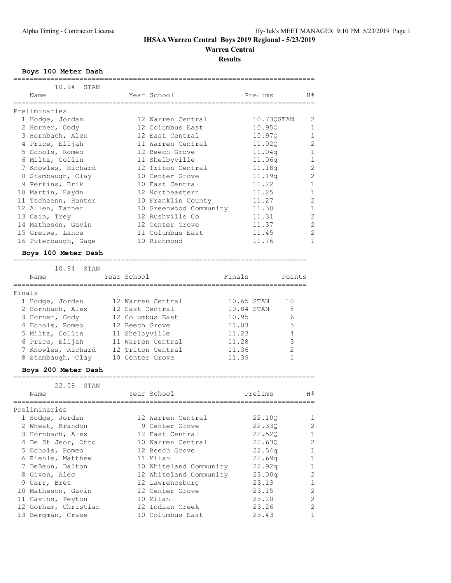# **IHSAA Warren Central Boys 2019 Regional - 5/23/2019 Warren Central**

**Results**

#### **Boys 100 Meter Dash**

| 10.94 STAN          |                        |                    |                |
|---------------------|------------------------|--------------------|----------------|
| Name                | Year School            | Prelims            | H#             |
| Preliminaries       |                        |                    |                |
| 1 Hodge, Jordan     | 12 Warren Central      | 10.73QSTAN         | 2              |
| 2 Horner, Cody      | 12 Columbus East       | 10.950             | $\mathbf{1}$   |
| 3 Hornbach, Alex    | 12 East Central        | 10.97Q             | $\mathbf 1$    |
| 4 Price, Elijah     | 11 Warren Central      | 11.02Q             | $\overline{2}$ |
| 5 Echols, Romeo     | 12 Beech Grove         | 11.04 <sub>q</sub> | $\mathbf{1}$   |
| 6 Miltz, Collin     | 11 Shelbyville         | 11.06q             | $\mathbf{1}$   |
| 7 Knowles, Richard  | 12 Triton Central      | 11.18q             | $\overline{c}$ |
| 8 Stambaugh, Clay   | 10 Center Grove        | 11.19q             | $\overline{c}$ |
| 9 Perkins, Erik     | 10 East Central        | 11.22              | $\mathbf{1}$   |
| 10 Martin, Haydn    | 12 Northeastern        | 11.25              | $\mathbf{1}$   |
| 11 Tschaenn, Hunter | 10 Franklin County     | 11.27              | $\mathbf{2}$   |
| 12 Allen, Tanner    | 10 Greenwood Community | 11.30              | $\mathbf{1}$   |
| 13 Cain, Trey       | 12 Rushville Co        | 11.31              | $\overline{2}$ |
| 14 Matheson, Gavin  | 12 Center Grove        | 11.37              | $\mathbf{2}$   |
| 15 Greiwe, Lance    | 11 Columbus East       | 11.45              | $\overline{2}$ |
| 16 Puterbaugh, Gage | 10 Richmond            | 11.76              | $\mathbf{1}$   |
| Boys 100 Meter Dash |                        |                    |                |
|                     |                        |                    |                |

|        | 10.94<br>STAN      |             |                   |            |        |
|--------|--------------------|-------------|-------------------|------------|--------|
|        | Name               | Year School |                   | Finals     | Points |
| Finals |                    |             |                   |            |        |
|        | 1 Hodge, Jordan    |             | 12 Warren Central | 10.65 STAN | 10     |
|        | 2 Hornbach, Alex   |             | 12 East Central   | 10.84 STAN | 8      |
|        | 3 Horner, Cody     |             | 12 Columbus East  | 10.95      | ีค     |
|        | 4 Echols, Romeo    |             | 12 Beech Grove    | 11.03      | 5      |
|        | 5 Miltz, Collin    |             | 11 Shelbyville    | 11.23      |        |
|        | 6 Price, Elijah    |             | 11 Warren Central | 11.28      | 3      |
|        | 7 Knowles, Richard |             | 12 Triton Central | 11.36      |        |
|        | 8 Stambaugh, Clay  |             | 10 Center Grove   | 11.39      |        |

### **Boys 200 Meter Dash**

| 22.08 STAN<br>Name   | Year School            | Prelims            | H#             |
|----------------------|------------------------|--------------------|----------------|
|                      |                        |                    |                |
| Preliminaries        |                        |                    |                |
| 1 Hodge, Jordan      | 12 Warren Central      | 22,100             |                |
| 2 Wheat, Brandon     | 9 Center Grove         | 22.330             | $\mathcal{D}$  |
| 3 Hornbach, Alex     | 12 East Central        | 22.520             |                |
| 4 De St Jeor, Otto   | 10 Warren Central      | 22.630             | $\mathcal{D}$  |
| 5 Echols, Romeo      | 12 Beech Grove         | 22.54 <sub>q</sub> |                |
| 6 Riehle, Matthew    | 11 Milan               | 22.69q             |                |
| 7 DeBaun, Dalton     | 10 Whiteland Community | 22.92q             |                |
| 8 Given, Alec        | 12 Whiteland Community | 23.00q             | 2              |
| 9 Carr, Bret         | 12 Lawrenceburg        | 23.13              |                |
| 10 Matheson, Gavin   | 12 Center Grove        | 23.15              | $\mathfrak{D}$ |
| 11 Cavins, Peyton    | 10 Milan               | 23.20              | $\mathcal{P}$  |
| 12 Gorham, Christian | 12 Indian Creek        | 23.26              | $\mathcal{P}$  |
| 13 Bergman, Crase    | 10 Columbus East       | 23.43              |                |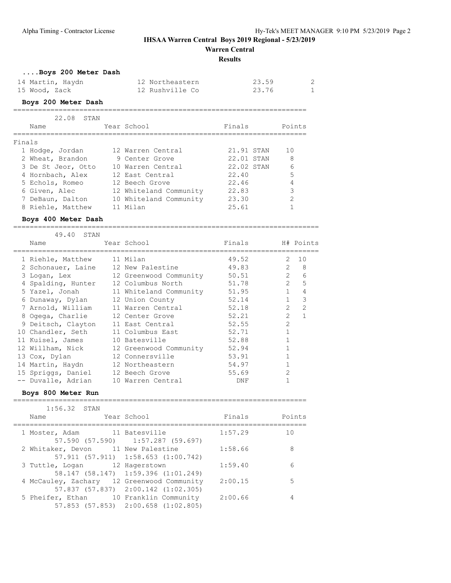**Warren Central**

**Results**

### **....Boys 200 Meter Dash**

| 14 Martin, Haydn | 12 Northeastern | 23.59 |  |
|------------------|-----------------|-------|--|
| 15 Wood, Zack    | 12 Rushville Co | 23.76 |  |

=======================================================================

### **Boys 200 Meter Dash**

| 22.08              | STAN |                        |            |        |
|--------------------|------|------------------------|------------|--------|
| Name               |      | Year School            | Finals     | Points |
| Finals             |      |                        |            |        |
| 1 Hodge, Jordan    |      | 12 Warren Central      | 21.91 STAN | 10     |
| 2 Wheat, Brandon   |      | 9 Center Grove         | 22.01 STAN | 8      |
| 3 De St Jeor, Otto |      | 10 Warren Central      | 22.02 STAN | 6      |
| 4 Hornbach, Alex   |      | 12 East Central        | 22.40      | 5      |
| 5 Echols, Romeo    |      | 12 Beech Grove         | 22.46      | 4      |
| 6 Given, Alec      |      | 12 Whiteland Community | 22.83      | 3      |
| 7 DeBaun, Dalton   |      | 10 Whiteland Community | 23.30      | 2      |
| 8 Riehle, Matthew  |      | 11 Milan               | 25.61      |        |

#### **Boys 400 Meter Dash**

==========================================================================

| 49.40 STAN         |                        |        |                |                |
|--------------------|------------------------|--------|----------------|----------------|
| Name               | Year School            | Finals |                | H# Points      |
| 1 Riehle, Matthew  | 11 Milan               | 49.52  | $\mathcal{L}$  | 10             |
| 2 Schonauer, Laine | 12 New Palestine       | 49.83  | $\mathcal{L}$  | 8              |
| 3 Logan, Lex       | 12 Greenwood Community | 50.51  | $\mathcal{L}$  | 6              |
| 4 Spalding, Hunter | 12 Columbus North      | 51.78  | $\mathcal{L}$  | 5              |
| 5 Yazel, Jonah     | 11 Whiteland Community | 51.95  |                | 4              |
| 6 Dunaway, Dylan   | 12 Union County        | 52.14  |                | 3              |
| 7 Arnold, William  | 11 Warren Central      | 52.18  | $\overline{2}$ | $\overline{2}$ |
| 8 Ogega, Charlie   | 12 Center Grove        | 52.21  | $\overline{2}$ |                |
| 9 Deitsch, Clayton | 11 East Central        | 52.55  | $\overline{2}$ |                |
| 10 Chandler, Seth  | 11 Columbus East       | 52.71  |                |                |
| 11 Kuisel, James   | 10 Batesville          | 52.88  |                |                |
| 12 Willham, Nick   | 12 Greenwood Community | 52.94  |                |                |
| 13 Cox, Dylan      | 12 Connersville        | 53.91  |                |                |
| 14 Martin, Haydn   | 12 Northeastern        | 54.97  |                |                |
| 15 Spriggs, Daniel | 12 Beech Grove         | 55.69  | $\mathfrak{D}$ |                |
| -- Duvalle, Adrian | 10 Warren Central      | DNF    |                |                |

#### **Boys 800 Meter Run** =======================================================================

| $1:56.32$ STAN                             |                                                    |         |        |
|--------------------------------------------|----------------------------------------------------|---------|--------|
| Name                                       | Year School                                        | Finals  | Points |
| 1 Moster, Adam                             | 11 Batesville<br>57.590 (57.590) 1:57.287 (59.697) | 1:57.29 | 1 O    |
| 2 Whitaker, Devon 11 New Palestine         | 57.911 (57.911) 1:58.653 (1:00.742)                | 1:58.66 | 8      |
| 3 Tuttle, Logan 12 Hagerstown              | 58.147 (58.147) 1:59.396 (1:01.249)                | 1:59.40 |        |
| 4 McCauley, Zachary 12 Greenwood Community | 57.837 (57.837) 2:00.142 (1:02.305)                | 2:00.15 | 5      |
| 5 Pheifer, Ethan 10 Franklin Community     | 57.853 (57.853) 2:00.658 (1:02.805)                | 2:00.66 |        |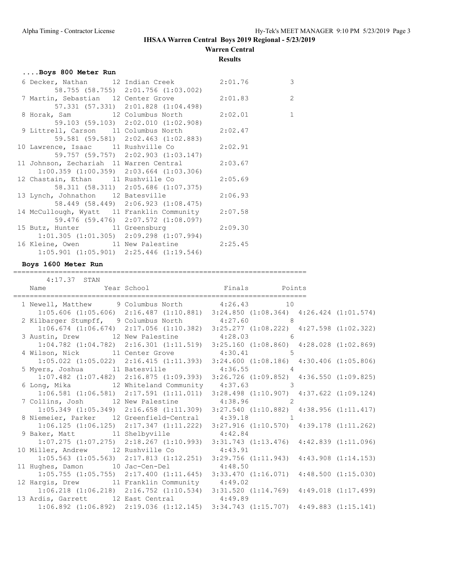# **Warren Central**

**Results**

| Boys 800 Meter Run                                 |                                                 |         |                |
|----------------------------------------------------|-------------------------------------------------|---------|----------------|
| 6 Decker, Nathan 12 Indian Creek 2:01.76           |                                                 |         | 3              |
|                                                    | 58.755 (58.755) 2:01.756 (1:03.002)             |         |                |
| 7 Martin, Sebastian 12 Center Grove 2:01.83        |                                                 |         | $\overline{c}$ |
|                                                    | 57.331 (57.331) 2:01.828 (1:04.498)             |         |                |
| 8 Horak, Sam 12 Columbus North 2:02.01             |                                                 |         | $\mathbf{1}$   |
|                                                    | 59.103 (59.103) 2:02.010 (1:02.908)             |         |                |
| 9 Littrell, Carson 11 Columbus North 2:02.47       |                                                 |         |                |
|                                                    | 59.581 (59.581) 2:02.463 (1:02.883)             |         |                |
| 10 Lawrence, Isaac 11 Rushville Co 2:02.91         |                                                 |         |                |
|                                                    | 59.757 (59.757) 2:02.903 (1:03.147)             |         |                |
| 11 Johnson, Zechariah 11 Warren Central 2:03.67    |                                                 |         |                |
|                                                    | $1:00.359$ $(1:00.359)$ $2:03.664$ $(1:03.306)$ |         |                |
| 12 Chastain, Ethan 11 Rushville Co 2:05.69         |                                                 |         |                |
|                                                    | 58.311 (58.311) 2:05.686 (1:07.375)             |         |                |
| 13 Lynch, Johnathon 12 Batesville                  |                                                 | 2:06.93 |                |
|                                                    | 58.449 (58.449) 2:06.923 (1:08.475)             |         |                |
| 14 McCullough, Wyatt 11 Franklin Community 2:07.58 |                                                 |         |                |
|                                                    | 59.476 (59.476) 2:07.572 (1:08.097)             |         |                |
| 15 Butz, Hunter 11 Greensburg 2:09.30              |                                                 |         |                |
|                                                    | $1:01.305$ $(1:01.305)$ $2:09.298$ $(1:07.994)$ |         |                |
| 16 Kleine, Owen 11 New Palestine 2:25.45           |                                                 |         |                |
| $1:05.901$ $(1:05.901)$ $2:25.446$ $(1:19.546)$    |                                                 |         |                |

### **Boys 1600 Meter Run**

#### =======================================================================

| $4:17.37$ STAN                                                                                  |  |  |
|-------------------------------------------------------------------------------------------------|--|--|
|                                                                                                 |  |  |
| 1 Newell, Matthew 9 Columbus North 4:26.43 10                                                   |  |  |
| 1:05.606 (1:05.606) 2:16.487 (1:10.881) 3:24.850 (1:08.364) 4:26.424 (1:01.574)                 |  |  |
| 2 Kilbarger Stumpff, 9 Columbus North 4:27.60 8                                                 |  |  |
| 1:06.674 (1:06.674) 2:17.056 (1:10.382) 3:25.277 (1:08.222) 4:27.598 (1:02.322)                 |  |  |
| 3 Austin, Drew 12 New Palestine 4:28.03 6                                                       |  |  |
| $1:04.782$ $(1:04.782)$ $2:16.301$ $(1:11.519)$ $3:25.160$ $(1:08.860)$ $4:28.028$ $(1:02.869)$ |  |  |
| 4 Wilson, Nick 11 Center Grove 4:30.41 5                                                        |  |  |
| 1:05.022 (1:05.022) 2:16.415 (1:11.393) 3:24.600 (1:08.186) 4:30.406 (1:05.806)                 |  |  |
| 5 Myers, Joshua 11 Batesville 4:36.55 4                                                         |  |  |
| 1:07.482 (1:07.482) 2:16.875 (1:09.393) 3:26.726 (1:09.852) 4:36.550 (1:09.825)                 |  |  |
| 6 Long, Mika 12 Whiteland Community 4:37.63 3                                                   |  |  |
| $1:06.581$ (1:06.581) $2:17.591$ (1:11.011) $3:28.498$ (1:10.907) $4:37.622$ (1:09.124)         |  |  |
| 7 Collins, Josh 12 New Palestine 4:38.96 2                                                      |  |  |
| 1:05.349 (1:05.349) 2:16.658 (1:11.309) 3:27.540 (1:10.882) 4:38.956 (1:11.417)                 |  |  |
| 8 Niemeier, Parker 12 Greenfield-Central 4:39.18 1                                              |  |  |
| $1:06.125$ $(1:06.125)$ $2:17.347$ $(1:11.222)$ $3:27.916$ $(1:10.570)$ $4:39.178$ $(1:11.262)$ |  |  |
| 9 Baker, Matt 11 Shelbyville 4:42.84                                                            |  |  |
| $1:07.275$ $(1:07.275)$ $2:18.267$ $(1:10.993)$ $3:31.743$ $(1:13.476)$ $4:42.839$ $(1:11.096)$ |  |  |
| 10 Miller, Andrew 12 Rushville Co 4:43.91                                                       |  |  |
| 1:05.563 (1:05.563) 2:17.813 (1:12.251) 3:29.756 (1:11.943) 4:43.908 (1:14.153)                 |  |  |
| 11 Hughes, Damon 10 Jac-Cen-Del 4:48.50                                                         |  |  |
| $1:05.755$ $(1:05.755)$ $2:17.400$ $(1:11.645)$ $3:33.470$ $(1:16.071)$ $4:48.500$ $(1:15.030)$ |  |  |
| 12 Hargis, Drew 11 Franklin Community 4:49.02                                                   |  |  |
| 1:06.218 (1:06.218) 2:16.752 (1:10.534) 3:31.520 (1:14.769) 4:49.018 (1:17.499)                 |  |  |
| 13 Ardis, Garrett 12 East Central 4:49.89                                                       |  |  |
| 1:06.892 (1:06.892) 2:19.036 (1:12.145) 3:34.743 (1:15.707) 4:49.883 (1:15.141)                 |  |  |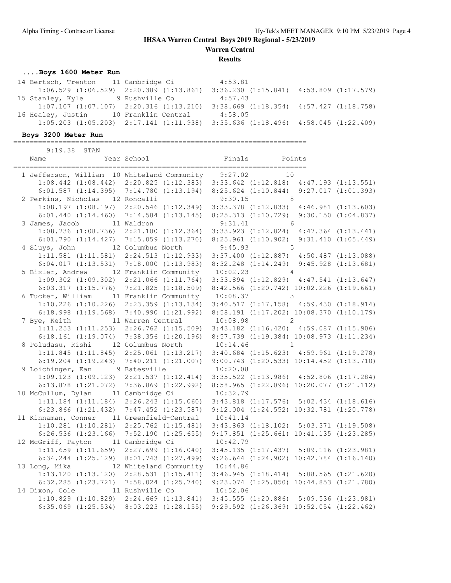**Warren Central**

**Results**

# **....Boys 1600 Meter Run**

| 14 Bertsch, Trenton 11 Cambridge Ci             |                | 4:53.81                                                                                         |  |
|-------------------------------------------------|----------------|-------------------------------------------------------------------------------------------------|--|
| $1:06.529$ $(1:06.529)$ $2:20.389$ $(1:13.861)$ |                | $3:36.230$ $(1:15.841)$ $4:53.809$ $(1:17.579)$                                                 |  |
| 15 Stanley, Kyle                                | 9 Rushville Co | 4:57.43                                                                                         |  |
| $1:07.107$ $(1:07.107)$ $2:20.316$ $(1:13.210)$ |                | $3:38.669$ $(1:18.354)$ $4:57.427$ $(1:18.758)$                                                 |  |
| 16 Healey, Justin 10 Franklin Central           |                | 4:58.05                                                                                         |  |
|                                                 |                | $1:05.203$ $(1:05.203)$ $2:17.141$ $(1:11.938)$ $3:35.636$ $(1:18.496)$ $4:58.045$ $(1:22.409)$ |  |
|                                                 |                |                                                                                                 |  |

### **Boys 3200 Meter Run**

=======================================================================

| 9:19.38 STAN                                        |                                                                                                  |               |                                                 |  |
|-----------------------------------------------------|--------------------------------------------------------------------------------------------------|---------------|-------------------------------------------------|--|
| Year School<br>Name                                 |                                                                                                  | Finals Points |                                                 |  |
| 1 Jefferson, William 10 Whiteland Community 9:27.02 |                                                                                                  |               | 10                                              |  |
|                                                     | 1:08.442 (1:08.442) 2:20.825 (1:12.383) 3:33.642 (1:12.818) 4:47.193 (1:13.551)                  |               |                                                 |  |
|                                                     | 6:01.587 (1:14.395) 7:14.780 (1:13.194) 8:25.624 (1:10.844) 9:27.017 (1:01.393)                  |               |                                                 |  |
| 2 Perkins, Nicholas 12 Roncalli (9:30.15 8)         |                                                                                                  |               |                                                 |  |
|                                                     | 1:08.197 (1:08.197) 2:20.546 (1:12.349) 3:33.378 (1:12.833) 4:46.981 (1:13.603)                  |               |                                                 |  |
|                                                     | 6:01.440 $(1:14.460)$ 7:14.584 $(1:13.145)$ 8:25.313 $(1:10.729)$ 9:30.150 $(1:04.837)$          |               |                                                 |  |
| 3 James, Jacob 11 Waldron                           |                                                                                                  | $9:31.41$ 6   |                                                 |  |
|                                                     | 1:08.736 (1:08.736) 2:21.100 (1:12.364) 3:33.923 (1:12.824) 4:47.364 (1:13.441)                  |               |                                                 |  |
|                                                     | $6:01.790$ $(1:14.427)$ $7:15.059$ $(1:13.270)$                                                  |               | $8:25.961$ $(1:10.902)$ $9:31.410$ $(1:05.449)$ |  |
| 4 Sluys, John 12 Columbus North                     |                                                                                                  | $9:45.93$ 5   |                                                 |  |
|                                                     | 1:11.581 (1:11.581) 2:24.513 (1:12.933) 3:37.400 (1:12.887) 4:50.487 (1:13.088)                  |               |                                                 |  |
|                                                     | $6:04.017$ $(1:13.531)$ $7:18.000$ $(1:13.983)$                                                  |               | 8:32.248 (1:14.249) 9:45.928 (1:13.681)         |  |
| 5 Bixler, Andrew 12 Franklin Community 10:02.23 4   |                                                                                                  |               |                                                 |  |
|                                                     | $1:09.302$ $(1:09.302)$ $2:21.066$ $(1:11.764)$                                                  |               | $3:33.894$ $(1:12.829)$ $4:47.541$ $(1:13.647)$ |  |
| $6:03.317$ $(1:15.776)$ $7:21.825$ $(1:18.509)$     |                                                                                                  |               | 8:42.566 (1:20.742) 10:02.226 (1:19.661)        |  |
| 6 Tucker, William 11 Franklin Community 10:08.37 3  |                                                                                                  |               |                                                 |  |
|                                                     | 1:10.226 (1:10.226) 2:23.359 (1:13.134) 3:40.517 (1:17.158) 4:59.430 (1:18.914)                  |               |                                                 |  |
|                                                     | $6:18.998$ $(1:19.568)$ $7:40.990$ $(1:21.992)$                                                  |               | 8:58.191 (1:17.202) 10:08.370 (1:10.179)        |  |
| 7 Bye, Keith 11 Warren Central                      |                                                                                                  | $10:08.98$ 2  |                                                 |  |
|                                                     | 1:11.253 (1:11.253) 2:26.762 (1:15.509) 3:43.182 (1:16.420) 4:59.087 (1:15.906)                  |               |                                                 |  |
|                                                     | 6:18.161 (1:19.074) 7:38.356 (1:20.196) 8:57.739 (1:19.384) 10:08.973 (1:11.234)                 |               |                                                 |  |
| 8 Poludasu, Rishi 12 Columbus North                 |                                                                                                  | $10:14.46$ 1  |                                                 |  |
|                                                     | 1:11.845 (1:11.845) 2:25.061 (1:13.217) 3:40.684 (1:15.623) 4:59.961 (1:19.278)                  |               |                                                 |  |
|                                                     | $6:19.204$ $(1:19.243)$ $7:40.211$ $(1:21.007)$ $9:00.743$ $(1:20.533)$ $10:14.452$ $(1:13.710)$ |               |                                                 |  |
| 9 Loichinger, Ean 9 Batesville 10:20.08             |                                                                                                  |               |                                                 |  |
|                                                     | 1:09.123 (1:09.123) 2:21.537 (1:12.414) 3:35.522 (1:13.986) 4:52.806 (1:17.284)                  |               |                                                 |  |
|                                                     | 6:13.878 (1:21.072) 7:36.869 (1:22.992) 8:58.965 (1:22.096) 10:20.077 (1:21.112)                 |               |                                                 |  |
| 10 McCullum, Dylan 11 Cambridge Ci 10:32.79         |                                                                                                  |               |                                                 |  |
|                                                     | 1:11.184 (1:11.184) 2:26.243 (1:15.060) 3:43.818 (1:17.576) 5:02.434 (1:18.616)                  |               |                                                 |  |
|                                                     | 6:23.866 (1:21.432) 7:47.452 (1:23.587) 9:12.004 (1:24.552) 10:32.781 (1:20.778)                 |               |                                                 |  |
| 11 Kinnaman, Conner 11 Greenfield-Central 10:41.14  |                                                                                                  |               |                                                 |  |
|                                                     | $1:10.281$ $(1:10.281)$ $2:25.762$ $(1:15.481)$                                                  |               | $3:43.863$ (1:18.102) $5:03.371$ (1:19.508)     |  |
|                                                     | 6:26.536 (1:23.166) 7:52.190 (1:25.655) 9:17.851 (1:25.661) 10:41.135 (1:23.285)                 |               |                                                 |  |
| 12 McGriff, Payton 11 Cambridge Ci                  |                                                                                                  | 10:42.79      |                                                 |  |
|                                                     | $1:11.659$ $(1:11.659)$ $2:27.699$ $(1:16.040)$                                                  |               | $3:45.135$ $(1:17.437)$ $5:09.116$ $(1:23.981)$ |  |
|                                                     | $6:34.244$ (1:25.129) $8:01.743$ (1:27.499) $9:26.644$ (1:24.902) 10:42.784 (1:16.140)           |               |                                                 |  |
| 13 Long, Mika 12 Whiteland Community 10:44.86       |                                                                                                  |               |                                                 |  |
|                                                     | 1:13.120 (1:13.120) 2:28.531 (1:15.411) 3:46.945 (1:18.414) 5:08.565 (1:21.620)                  |               |                                                 |  |
|                                                     | 6:32.285 (1:23.721) 7:58.024 (1:25.740) 9:23.074 (1:25.050) 10:44.853 (1:21.780)                 |               |                                                 |  |
| 14 Dixon, Cole 11 Rushville Co                      |                                                                                                  | 10:52.06      |                                                 |  |
|                                                     | 1:10.829 (1:10.829) 2:24.669 (1:13.841) 3:45.555 (1:20.886) 5:09.536 (1:23.981)                  |               |                                                 |  |
| $6:35.069$ $(1:25.534)$ $8:03.223$ $(1:28.155)$     |                                                                                                  |               | 9:29.592 (1:26.369) 10:52.054 (1:22.462)        |  |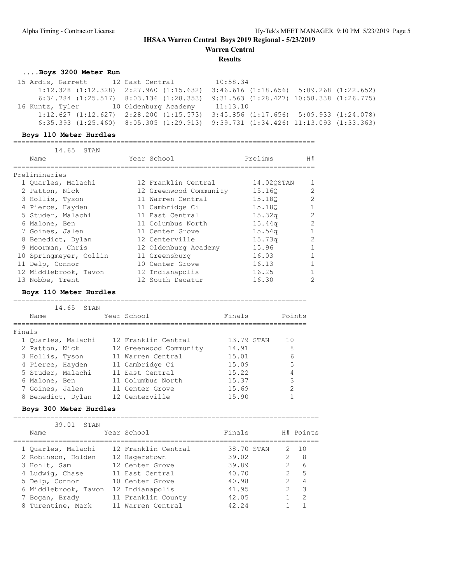### **IHSAA Warren Central Boys 2019 Regional - 5/23/2019 Warren Central**

**Results**

### **....Boys 3200 Meter Run**

| 15 Ardis, Garrett | 12 East Central                                 | 10:58.34                                         |  |
|-------------------|-------------------------------------------------|--------------------------------------------------|--|
|                   | $1:12.328$ $(1:12.328)$ $2:27.960$ $(1:15.632)$ | $3:46.616$ $(1:18.656)$ $5:09.268$ $(1:22.652)$  |  |
|                   | $6:34.784$ $(1:25.517)$ $8:03.136$ $(1:28.353)$ | $9:31.563$ $(1:28.427)$ $10:58.338$ $(1:26.775)$ |  |
|                   |                                                 |                                                  |  |
|                   | 16 Kuntz, Tyler 10 Oldenburg Academy            | 11:13.10                                         |  |
|                   | $1:12.627$ $(1:12.627)$ $2:28.200$ $(1:15.573)$ | $3:45.856$ $(1:17.656)$ $5:09.933$ $(1:24.078)$  |  |

### **Boys 110 Meter Hurdles**

=========================================================================

| 14.65 STAN             |                        |            |                |
|------------------------|------------------------|------------|----------------|
| Name                   | Year School            | Prelims    | H#             |
|                        |                        |            |                |
| Preliminaries          |                        |            |                |
| 1 Ouarles, Malachi     | 12 Franklin Central    | 14.020STAN | 1              |
| 2 Patton, Nick         | 12 Greenwood Community | 15.160     | $\mathfrak{D}$ |
| 3 Hollis, Tyson        | 11 Warren Central      | 15.180     | $\overline{2}$ |
| 4 Pierce, Hayden       | 11 Cambridge Ci        | 15.180     |                |
| 5 Studer, Malachi      | 11 East Central        | 15.32q     | 2              |
| 6 Malone, Ben          | 11 Columbus North      | 15.44q     | $\overline{2}$ |
| 7 Goines, Jalen        | 11 Center Grove        | 15.54q     | 1              |
| 8 Benedict, Dylan      | 12 Centerville         | 15.73q     | $\mathfrak{D}$ |
| 9 Moorman, Chris       | 12 Oldenburg Academy   | 15.96      |                |
| 10 Springmeyer, Collin | 11 Greensburg          | 16.03      |                |
| 11 Delp, Connor        | 10 Center Grove        | 16.13      | 1              |
| 12 Middlebrook, Tavon  | 12 Indianapolis        | 16.25      |                |
| 13 Nobbe, Trent        | 12 South Decatur       | 16.30      | 2              |

#### **Boys 110 Meter Hurdles**

=======================================================================

|        |                   | 14.65<br>STAN      |                        |            |        |
|--------|-------------------|--------------------|------------------------|------------|--------|
|        | Name              |                    | Year School            | Finals     | Points |
| Finals |                   |                    |                        |            |        |
|        |                   | 1 Ouarles, Malachi | 12 Franklin Central    | 13.79 STAN | 1 O    |
|        | 2 Patton, Nick    |                    | 12 Greenwood Community | 14.91      | 8      |
|        | 3 Hollis, Tyson   |                    | 11 Warren Central      | 15.01      | 6      |
|        | 4 Pierce, Hayden  |                    | 11 Cambridge Ci        | 15.09      | 5      |
|        | 5 Studer, Malachi |                    | 11 East Central        | 15.22      | 4      |
|        | 6 Malone, Ben     |                    | 11 Columbus North      | 15.37      | 3      |
|        | 7 Goines, Jalen   |                    | 11 Center Grove        | 15.69      | 2      |
|        | 8 Benedict, Dylan |                    | 12 Centerville         | 15.90      |        |

### **Boys 300 Meter Hurdles**

==========================================================================

| 39.01<br>STAN        |                     |            |               |                |
|----------------------|---------------------|------------|---------------|----------------|
| Name                 | Year School         | Finals     |               | H# Points      |
| 1 Ouarles, Malachi   | 12 Franklin Central | 38.70 STAN |               | 2, 10          |
| 2 Robinson, Holden   | 12 Hagerstown       | 39.02      | $\mathcal{L}$ | 8              |
| 3 Hohlt, Sam         | 12 Center Grove     | 39.89      | $\mathcal{P}$ | 6              |
| 4 Ludwig, Chase      | 11 East Central     | 40.70      | $\mathcal{L}$ | $-5$           |
| 5 Delp, Connor       | 10 Center Grove     | 40.98      | $\mathcal{D}$ | $\overline{4}$ |
| 6 Middlebrook, Tavon | 12 Indianapolis     | 41.95      | $\mathcal{P}$ | 3              |
| 7 Bogan, Brady       | 11 Franklin County  | 42.05      |               | $\mathcal{D}$  |
| 8 Turentine, Mark    | 11 Warren Central   | 42.24      |               |                |
|                      |                     |            |               |                |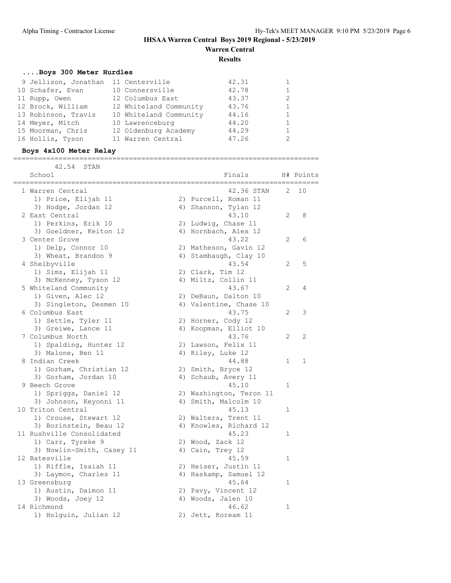# **IHSAA Warren Central Boys 2019 Regional - 5/23/2019 Warren Central**

**Results**

# **....Boys 300 Meter Hurdles**

| 9 Jellison, Jonathan | 11 Centerville         | 42.31 |  |
|----------------------|------------------------|-------|--|
| 10 Schafer, Evan     | 10 Connersville        | 42.78 |  |
| 11 Rupp, Owen        | 12 Columbus East       | 43.37 |  |
| 12 Brock, William    | 12 Whiteland Community | 43.76 |  |
| 13 Robinson, Travis  | 10 Whiteland Community | 44.16 |  |
| 14 Meyer, Mitch      | 10 Lawrenceburg        | 44.20 |  |
| 15 Moorman, Chris    | 12 Oldenburg Academy   | 44.29 |  |
| 16 Hollis, Tyson     | 11 Warren Central      | 47.26 |  |
|                      |                        |       |  |

### **Boys 4x100 Meter Relay**

42.54 STAN

==========================================================================

| School                    | Finals                  |              | H# Points      |
|---------------------------|-------------------------|--------------|----------------|
| 1 Warren Central          | 42.36 STAN              | 2            | 10             |
| 1) Price, Elijah 11       | 2) Purcell, Roman 11    |              |                |
| 3) Hodge, Jordan 12       | 4) Shannon, Tylan 12    |              |                |
| 2 East Central            | 43.10                   | 2            | 8              |
| 1) Perkins, Erik 10       | 2) Ludwig, Chase 11     |              |                |
| 3) Goeldner, Keiton 12    | 4) Hornbach, Alex 12    |              |                |
| 3 Center Grove            | 43.22                   | 2            | 6              |
| 1) Delp, Connor 10        | 2) Matheson, Gavin 12   |              |                |
| 3) Wheat, Brandon 9       | 4) Stambaugh, Clay 10   |              |                |
| 4 Shelbyville             | 43.54                   | 2            | 5              |
| 1) Sims, Elijah 11        | 2) Clark, Tim 12        |              |                |
| 3) McKenney, Tyson 12     | 4) Miltz, Collin 11     |              |                |
| 5 Whiteland Community     | 43.67                   | 2            | $\overline{4}$ |
| 1) Given, Alec 12         | 2) DeBaun, Dalton 10    |              |                |
| 3) Singleton, Desmen 10   | 4) Valentine, Chase 10  |              |                |
| 6 Columbus East           | 43.75                   | 2            | 3              |
| 1) Settle, Tyler 11       | 2) Horner, Cody 12      |              |                |
| 3) Greiwe, Lance 11       | 4) Koopman, Elliot 10   |              |                |
| 7 Columbus North          | 43.76                   | 2            | 2              |
| 1) Spalding, Hunter 12    | 2) Lawson, Felix 11     |              |                |
| 3) Malone, Ben 11         | 4) Riley, Luke 12       |              |                |
| 8 Indian Creek            | 44.88                   | $\mathbf{1}$ | 1              |
| 1) Gorham, Christian 12   | 2) Smith, Bryce 12      |              |                |
| 3) Gorham, Jordan 10      | 4) Schaub, Avery 11     |              |                |
| 9 Beech Grove             | 45.10                   | 1            |                |
| 1) Spriggs, Daniel 12     | 2) Washington, Teron 11 |              |                |
| 3) Johnson, Keyonni 11    | 4) Smith, Malcolm 10    |              |                |
| 10 Triton Central         | 45.13                   | 1            |                |
| 1) Crouse, Stewart 12     | 2) Walters, Trent 11    |              |                |
| 3) Borinstein, Beau 12    | 4) Knowles, Richard 12  |              |                |
| 11 Rushville Consolidated | 45.23                   | 1            |                |
| 1) Carr, Tyreke 9         | 2) Wood, Zack 12        |              |                |
| 3) Nowlin-Smith, Casey 11 | 4) Cain, Trey 12        |              |                |
| 12 Batesville             | 45.59                   | 1            |                |
| 1) Riffle, Isaiah 11      | 2) Heiser, Justin 11    |              |                |
| 3) Laymon, Charles 11     | 4) Haskamp, Samuel 12   |              |                |
| 13 Greensburg             | 45.64                   | 1            |                |
| 1) Austin, Daimon 11      | 2) Pavy, Vincent 12     |              |                |
| 3) Woods, Joey 12         | 4) Woods, Jalen 10      |              |                |
| 14 Richmond               | 46.62                   | $\mathbf{1}$ |                |
| 1) Holguin, Julian 12     | 2) Jett, Koream 11      |              |                |
|                           |                         |              |                |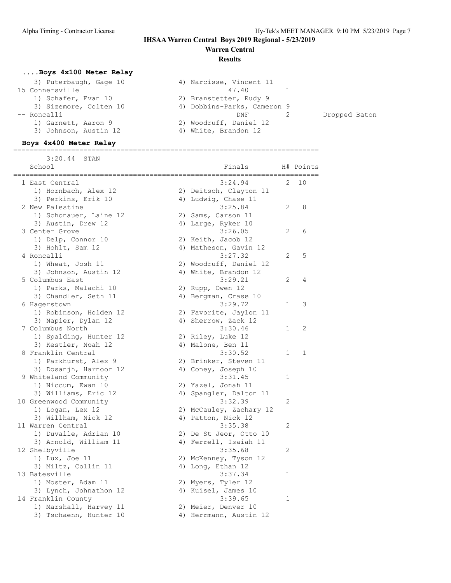**Warren Central**

**Results**

# **....Boys 4x100 Meter Relay**

| 47.40 |                                                                          |                                                        |
|-------|--------------------------------------------------------------------------|--------------------------------------------------------|
|       |                                                                          |                                                        |
|       |                                                                          |                                                        |
| DNF   |                                                                          | Dropped Baton                                          |
|       |                                                                          |                                                        |
|       |                                                                          |                                                        |
|       | 2) Branstetter, Rudy 9<br>2) Woodruff, Daniel 12<br>4) White, Brandon 12 | 4) Narcisse, Vincent 11<br>4) Dobbins-Parks, Cameron 9 |

### **Boys 4x400 Meter Relay**

========================================================================== 3:20.44 STAN

| School<br>, __________________________ | Finals<br>.============== |   | H# Points |
|----------------------------------------|---------------------------|---|-----------|
| 1 East Central                         | 3:24.94                   | 2 | 10        |
| 1) Hornbach, Alex 12                   | 2) Deitsch, Clayton 11    |   |           |
| 3) Perkins, Erik 10                    | 4) Ludwig, Chase 11       |   |           |
| 2 New Palestine                        | 3:25.84                   | 2 | 8         |
| 1) Schonauer, Laine 12                 | 2) Sams, Carson 11        |   |           |
| 3) Austin, Drew 12                     | 4) Large, Ryker 10        |   |           |
| 3 Center Grove                         | 3:26.05                   | 2 | 6         |
| 1) Delp, Connor 10                     | 2) Keith, Jacob 12        |   |           |
| 3) Hohlt, Sam 12                       | 4) Matheson, Gavin 12     |   |           |
| 4 Roncalli                             | 3:27.32                   | 2 | 5         |
| 1) Wheat, Josh 11                      | 2) Woodruff, Daniel 12    |   |           |
| 3) Johnson, Austin 12                  | 4) White, Brandon 12      |   |           |
| 5 Columbus East                        | 3:29.21                   | 2 | 4         |
| 1) Parks, Malachi 10                   | 2) Rupp, Owen 12          |   |           |
| 3) Chandler, Seth 11                   | 4) Bergman, Crase 10      |   |           |
| 6 Hagerstown                           | 3:29.72                   | 1 | 3         |
| 1) Robinson, Holden 12                 | 2) Favorite, Jaylon 11    |   |           |
| 3) Napier, Dylan 12                    | 4) Sherrow, Zack 12       |   |           |
| 7 Columbus North                       | 3:30.46                   | 1 | 2         |
| 1) Spalding, Hunter 12                 | 2) Riley, Luke 12         |   |           |
| 3) Kestler, Noah 12                    | 4) Malone, Ben 11         |   |           |
| 8 Franklin Central                     | 3:30.52                   | 1 | 1         |
| 1) Parkhurst, Alex 9                   | 2) Brinker, Steven 11     |   |           |
| 3) Dosanjh, Harnoor 12                 | 4) Coney, Joseph 10       |   |           |
| 9 Whiteland Community                  | 3:31.45                   | 1 |           |
| 1) Niccum, Ewan 10                     | 2) Yazel, Jonah 11        |   |           |
| 3) Williams, Eric 12                   | 4) Spangler, Dalton 11    |   |           |
| 10 Greenwood Community                 | 3:32.39                   | 2 |           |
| 1) Logan, Lex 12                       | 2) McCauley, Zachary 12   |   |           |
| 3) Willham, Nick 12                    | 4) Patton, Nick 12        |   |           |
| 11 Warren Central                      | 3:35.38                   | 2 |           |
| 1) Duvalle, Adrian 10                  | 2) De St Jeor, Otto 10    |   |           |
| 3) Arnold, William 11                  | 4) Ferrell, Isaiah 11     |   |           |
| 12 Shelbyville                         | 3:35.68                   | 2 |           |
| 1) Lux, Joe 11                         | 2) McKenney, Tyson 12     |   |           |
| 3) Miltz, Collin 11                    | 4) Long, Ethan 12         |   |           |
| 13 Batesville                          | 3:37.34                   | 1 |           |
| 1) Moster, Adam 11                     | 2) Myers, Tyler 12        |   |           |
| 3) Lynch, Johnathon 12                 | 4) Kuisel, James 10       |   |           |
| 14 Franklin County                     | 3:39.65                   | 1 |           |
| 1) Marshall, Harvey 11                 | 2) Meier, Denver 10       |   |           |
| 3) Tschaenn, Hunter 10                 | 4) Herrmann, Austin 12    |   |           |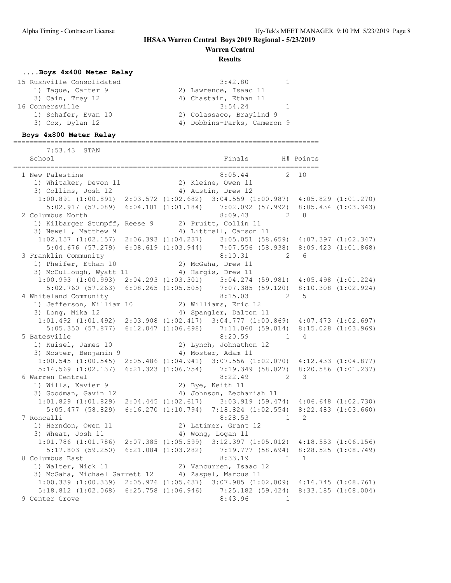**Warren Central**

#### **Results**

### **....Boys 4x400 Meter Relay**

| 15 Rushville Consolidated | 3:42.80                     |  |
|---------------------------|-----------------------------|--|
| 1) Taque, Carter 9        | 2) Lawrence, Isaac 11       |  |
| 3) Cain, Trey 12          | 4) Chastain, Ethan 11       |  |
| 16 Connersville           | 3:54.24                     |  |
| 1) Schafer, Evan 10       | 2) Colassaco, Braylind 9    |  |
| 3) Cox, Dylan 12          | 4) Dobbins-Parks, Cameron 9 |  |

==========================================================================

#### **Boys 4x800 Meter Relay**

 7:53.43 STAN School **Finals** H# Points ========================================================================== 1 New Palestine 8:05.44 2 10 1) Whitaker, Devon 11 2) Kleine, Owen 11 3) Collins, Josh 12 4) Austin, Drew 12 1:00.891 (1:00.891) 2:03.572 (1:02.682) 3:04.559 (1:00.987) 4:05.829 (1:01.270) 5:02.917 (57.089) 6:04.101 (1:01.184) 7:02.092 (57.992) 8:05.434 (1:03.343) 2 Columbus North 8:09.43 2 8 1) Kilbarger Stumpff, Reese 9 2) Pruitt, Collin 11 3) Newell, Matthew 9 4) Littrell, Carson 11 1:02.157 (1:02.157) 2:06.393 (1:04.237) 3:05.051 (58.659) 4:07.397 (1:02.347) 5:04.676 (57.279) 6:08.619 (1:03.944) 7:07.556 (58.938) 8:09.423 (1:01.868) 3 Franklin Community 8:10.31 2 6 1) Pheifer, Ethan 10 2) McGaha, Drew 11 3) McCullough, Wyatt 11 4) Hargis, Drew 11 1:00.993 (1:00.993) 2:04.293 (1:03.301) 3:04.274 (59.981) 4:05.498 (1:01.224) 5:02.760 (57.263) 6:08.265 (1:05.505) 7:07.385 (59.120) 8:10.308 (1:02.924) 4 Whiteland Community 8:15.03 2 5 1) Jefferson, William 10 2) Williams, Eric 12 3) Long, Mika 12 4) Spangler, Dalton 11 1:01.492 (1:01.492) 2:03.908 (1:02.417) 3:04.777 (1:00.869) 4:07.473 (1:02.697) 5:05.350 (57.877) 6:12.047 (1:06.698) 7:11.060 (59.014) 8:15.028 (1:03.969) 5 Batesville 8:20.59 1 4 1) Kuisel, James 10 2) Lynch, Johnathon 12 3) Moster, Benjamin 9 (4) Moster, Adam 11 1:00.545 (1:00.545) 2:05.486 (1:04.941) 3:07.556 (1:02.070) 4:12.433 (1:04.877) 5:14.569 (1:02.137) 6:21.323 (1:06.754) 7:19.349 (58.027) 8:20.586 (1:01.237) 6 Warren Central 8:22.49 2 3 1) Wills, Xavier 9 2) Bye, Keith 11 3) Goodman, Gavin 12 4) Johnson, Zechariah 11 1:01.829 (1:01.829) 2:04.445 (1:02.617) 3:03.919 (59.474) 4:06.648 (1:02.730) 5:05.477 (58.829) 6:16.270 (1:10.794) 7:18.824 (1:02.554) 8:22.483 (1:03.660) 7 Roncalli 8:28.53 1 2 1) Herndon, Owen 11 2) Latimer, Grant 12 3) Wheat, Josh 11  $\hskip1cm 4$ ) Wong, Logan 11 1:01.786 (1:01.786) 2:07.385 (1:05.599) 3:12.397 (1:05.012) 4:18.553 (1:06.156) 5:17.803 (59.250) 6:21.084 (1:03.282) 7:19.777 (58.694) 8:28.525 (1:08.749) 8 Columbus East 2:33.19 1 1 1) Walter, Nick 11 2) Vancurren, Isaac 12 3) McGaha, Michael Garrett 12 4) Zaspel, Marcus 11 1:00.339 (1:00.339) 2:05.976 (1:05.637) 3:07.985 (1:02.009) 4:16.745 (1:08.761) 5:18.812 (1:02.068) 6:25.758 (1:06.946) 7:25.182 (59.424) 8:33.185 (1:08.004) 9 Center Grove 8:43.96 1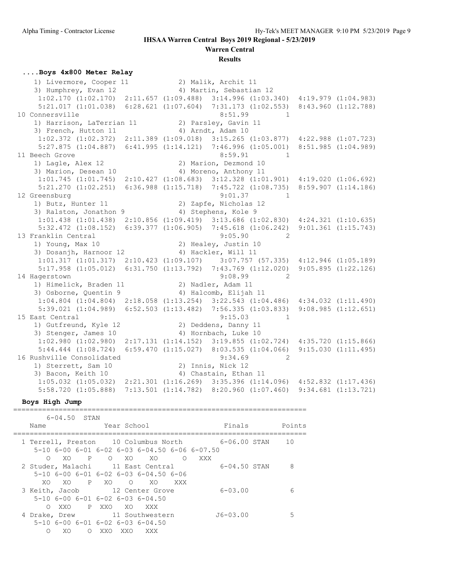**Warren Central**

**Results**

#### **....Boys 4x800 Meter Relay**

 1) Livermore, Cooper 11 2) Malik, Archit 11 3) Humphrey, Evan 12 4) Martin, Sebastian 12 1:02.170 (1:02.170) 2:11.657 (1:09.488) 3:14.996 (1:03.340) 4:19.979 (1:04.983) 5:21.017 (1:01.038) 6:28.621 (1:07.604) 7:31.173 (1:02.553) 8:43.960 (1:12.788) 10 Connersville 2016 12:51.99 1 1) Harrison, LaTerrian 11  $\qquad \qquad$  2) Parsley, Gavin 11 3) French, Hutton 11 (4) Arndt, Adam 10 1:02.372 (1:02.372) 2:11.389 (1:09.018) 3:15.265 (1:03.877) 4:22.988 (1:07.723) 5:27.875 (1:04.887) 6:41.995 (1:14.121) 7:46.996 (1:05.001) 8:51.985 (1:04.989) 11 Beech Grove 2:59.91 1 1) Lagle, Alex 12 2) Marion, Dezmond 10 3) Marion, Desean 10 4) Moreno, Anthony 11 1:01.745 (1:01.745) 2:10.427 (1:08.683) 3:12.328 (1:01.901) 4:19.020 (1:06.692) 5:21.270 (1:02.251) 6:36.988 (1:15.718) 7:45.722 (1:08.735) 8:59.907 (1:14.186) 12 Greensburg 12 Greensburg 12 Greensburg 12 Greensburg 12 Greensburg 12 Greensburg 12 Greensburg 12 Greensburg 1 1) Butz, Hunter 11 2) Zapfe, Nicholas 12 3) Ralston, Jonathon 9 (4) Stephens, Kole 9 1:01.438 (1:01.438) 2:10.856 (1:09.419) 3:13.686 (1:02.830) 4:24.321 (1:10.635) 5:32.472 (1:08.152) 6:39.377 (1:06.905) 7:45.618 (1:06.242) 9:01.361 (1:15.743) 13 Franklin Central 9:05.90 9:05.90 2<br>1) Young, Max 10 2) Healey, Justin 10 1) Young, Max 10 2) Healey, Justin 10 3) Dosanjh, Harnoor 12 4) Hackler, Will 11 1:01.317 (1:01.317) 2:10.423 (1:09.107) 3:07.757 (57.335) 4:12.946 (1:05.189) 5:17.958 (1:05.012) 6:31.750 (1:13.792) 7:43.769 (1:12.020) 9:05.895 (1:22.126) 14 Hagerstown 9:08.99 2 1) Himelick, Braden 11 and 2) Nadler, Adam 11 3) Osborne, Quentin 9 4) Halcomb, Elijah 11 1:04.804 (1:04.804) 2:18.058 (1:13.254) 3:22.543 (1:04.486) 4:34.032 (1:11.490) 5:39.021 (1:04.989) 6:52.503 (1:13.482) 7:56.335 (1:03.833) 9:08.985 (1:12.651) 15 East Central 9:15.03 1 1) Gutfreund, Kyle 12 2) Deddens, Danny 11 3) Stenger, James 10 (4) Hornbach, Luke 10 1:02.980 (1:02.980) 2:17.131 (1:14.152) 3:19.855 (1:02.724) 4:35.720 (1:15.866) 5:44.444 (1:08.724) 6:59.470 (1:15.027) 8:03.535 (1:04.066) 9:15.030 (1:11.495) 16 Rushville Consolidated 9:34.69 2 1) Sterrett, Sam 10 2) Innis, Nick 12 3) Bacon, Keith 10 4) Chastain, Ethan 11 1:05.032 (1:05.032) 2:21.301 (1:16.269) 3:35.396 (1:14.096) 4:52.832 (1:17.436) 5:58.720 (1:05.888) 7:13.501 (1:14.782) 8:20.960 (1:07.460) 9:34.681 (1:13.721)

**Boys High Jump**

======================================================================= 6-04.50 STAN

| Name                    | Year School                                                                             | Finals       | Points |
|-------------------------|-----------------------------------------------------------------------------------------|--------------|--------|
|                         | 1 Terrell, Preston 10 Columbus North<br>$5-10$ 6-00 6-01 6-02 6-03 6-04.50 6-06 6-07.50 | 6-06.00 STAN | 1 O    |
| XO<br>$\mathbf{P}$<br>∩ | $O$ XO<br>XO.<br>$\Omega$                                                               | XXX          |        |
|                         | 2 Studer, Malachi 11 East Central                                                       | 6-04.50 STAN | 8      |
|                         | $5-10$ 6-00 6-01 6-02 6-03 6-04.50 6-06                                                 |              |        |
| XO.                     | XOP XOO<br>XO<br>XXX                                                                    |              |        |
|                         | 3 Keith, Jacob 12 Center Grove                                                          | 6-03.00      | ีค     |
|                         | $5-10$ 6-00 6-01 6-02 6-03 6-04.50                                                      |              |        |
| XXO<br>∩                | P XXO<br>XO.<br>XXX X                                                                   |              |        |
|                         | 4 Drake, Drew 11 Southwestern                                                           | $J6 - 03.00$ | 5      |
|                         | $5-10$ 6-00 6-01 6-02 6-03 6-04.50                                                      |              |        |
| XO.<br>∩<br>∩           | XXO.<br>XXO<br>XXX                                                                      |              |        |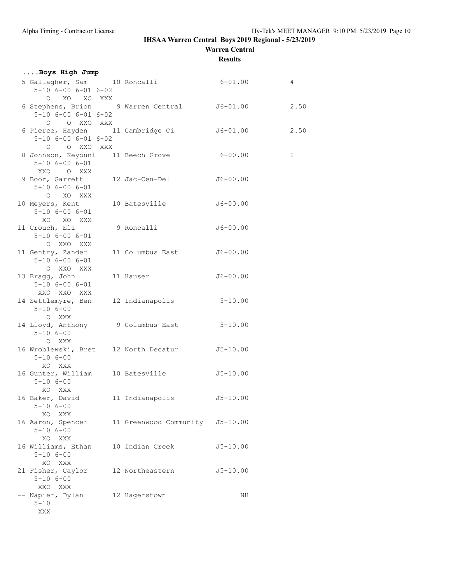**Warren Central**

| Boys High Jump                                                                                  |                        |              |             |
|-------------------------------------------------------------------------------------------------|------------------------|--------------|-------------|
| 5 Gallagher, Sam 10 Roncalli<br>$5 - 10$ $6 - 00$ $6 - 01$ $6 - 02$<br>O XO XO XXX              |                        | $6 - 01.00$  | 4           |
| 6 Stephens, Brion 9 Warren Central 56-01.00<br>$5-10$ 6-00 6-01 6-02<br>O O XXO XXX             |                        |              | 2.50        |
| 6 Pierce, Hayden 11 Cambridge Ci 56-01.00<br>$5 - 10$ $6 - 00$ $6 - 01$ $6 - 02$<br>O O XXO XXX |                        |              | 2.50        |
| 8 Johnson, Keyonni 11 Beech Grove<br>$5 - 10$ 6-00 6-01<br>XXO O XXX                            |                        | $6 - 00.00$  | $\mathbf 1$ |
| 9 Boor, Garrett 12 Jac-Cen-Del J6-00.00<br>$5 - 10$ $6 - 00$ $6 - 01$<br>O XO XXX               |                        |              |             |
| 10 Meyers, Kent 10 Batesville 56-00.00<br>$5 - 10$ $6 - 00$ $6 - 01$<br>XO XO XXX               |                        |              |             |
| 11 Crouch, Eli 9 Roncalli<br>$5 - 10$ $6 - 00$ $6 - 01$<br>O XXO XXX                            |                        | $J6 - 00.00$ |             |
| 11 Gentry, Zander 11 Columbus East J6-00.00<br>$5 - 10$ $6 - 00$ $6 - 01$<br>O XXO XXX          |                        |              |             |
| 13 Bragg, John<br>$5 - 10$ $6 - 00$ $6 - 01$<br>XXO XXO XXX                                     | 11 Hauser              | $J6 - 00.00$ |             |
| 14 Settlemyre, Ben 12 Indianapolis 5-10.00<br>$5 - 106 - 00$<br>O XXX                           |                        |              |             |
| 14 Lloyd, Anthony 9 Columbus East 5-10.00<br>$5 - 10$ $6 - 00$<br>O XXX                         |                        |              |             |
| 16 Wroblewski, Bret 12 North Decatur J5-10.00<br>$5 - 106 - 00$<br>XO XXX                       |                        |              |             |
| 16 Gunter, William 10 Batesville 55-10.00<br>$5 - 106 - 00$<br>XO XXX                           |                        |              |             |
| 16 Baker, David 11 Indianapolis 55-10.00<br>$5 - 106 - 00$<br>XO XXX                            |                        |              |             |
| 16 Aaron, Spencer<br>$5 - 106 - 00$<br>XO XXX                                                   | 11 Greenwood Community | $J5 - 10.00$ |             |
| 16 Williams, Ethan<br>$5 - 106 - 00$<br>XO XXX                                                  | 10 Indian Creek        | $J5 - 10.00$ |             |
| 21 Fisher, Caylor<br>$5 - 106 - 00$<br>XXO XXX                                                  | 12 Northeastern        | $J5 - 10.00$ |             |
| -- Napier, Dylan<br>$5 - 10$<br>XXX                                                             | 12 Hagerstown          | NH           |             |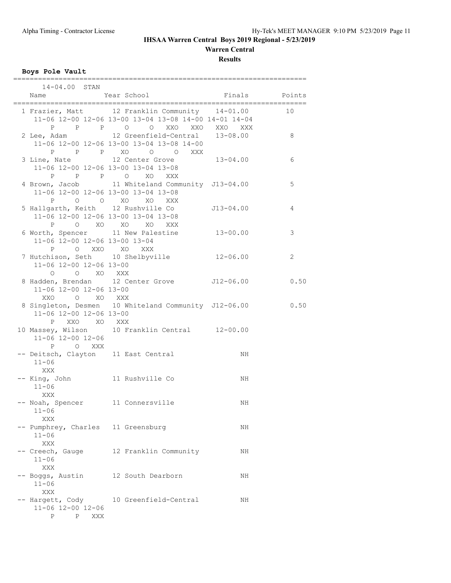**Warren Central**

**Results**

**Boys Pole Vault**

| $14 - 04.00$ STAN                                       |                                                                                                                                    |             |        |
|---------------------------------------------------------|------------------------------------------------------------------------------------------------------------------------------------|-------------|--------|
| Name                                                    | Year School                                                                                                                        | Finals      | Points |
| P                                                       | 1 Frazier, Matt 12 Franklin Community 14-01.00<br>11-06 12-00 12-06 13-00 13-04 13-08 14-00 14-01 14-04<br>P P O O XXO XXO XXO XXX |             | 10     |
|                                                         | 2 Lee, Adam 12 Greenfield-Central 13-08.00<br>11-06 12-00 12-06 13-00 13-04 13-08 14-00                                            |             | 8      |
|                                                         | 3 Line, Nate<br>12 Center Grove<br>11-06 12-00 12-06 13-00 13-04 13-08<br>13-04 13-09<br>P P P O XO XXX                            |             | 6      |
| P                                                       | 4 Brown, Jacob 11 Whiteland Community J13-04.00<br>11-06 12-00 12-06 13-00 13-04 13-08<br>O O XO XO XXX                            |             | 5      |
| 5 Hallgarth, Keith 12 Rushville Co<br>P O XO XO         | 11-06 12-00 12-06 13-00 13-04 13-08<br>XO XXX                                                                                      | $J13-04.00$ | 4      |
| 11-06 12-00 12-06 13-00 13-04<br>P O XXO XO XXX         | 6 Worth, Spencer 11 New Palestine 13-00.00                                                                                         |             | 3      |
| 11-06 12-00 12-06 13-00<br>O XO XXX<br>$\circ$          | 7 Hutchison, Seth 10 Shelbyville 12-06.00                                                                                          |             | 2      |
| 11-06 12-00 12-06 13-00<br>O XO XXX<br>XXO              | 8 Hadden, Brendan 12 Center Grove J12-06.00                                                                                        |             | 0.50   |
| 11-06 12-00 12-06 13-00<br>P XXO XO XXX                 | 8 Singleton, Desmen 10 Whiteland Community J12-06.00                                                                               |             | 0.50   |
| 11-06 12-00 12-06<br>P O XXX                            | 10 Massey, Wilson 10 Franklin Central 12-00.00                                                                                     |             |        |
| -- Deitsch, Clayton 11 East Central<br>$11 - 06$<br>XXX |                                                                                                                                    | NH          |        |
| -- King, John 11 Rushville Co<br>$11 - 06$<br>XXX       |                                                                                                                                    | NH          |        |
| -- Noah, Spencer 11 Connersville<br>$11 - 06$<br>XXX    |                                                                                                                                    | ΝH          |        |
| -- Pumphrey, Charles 11 Greensburg<br>$11 - 06$<br>XXX  |                                                                                                                                    | NH          |        |
| -- Creech, Gauge<br>$11 - 06$<br>XXX                    | 12 Franklin Community                                                                                                              | ΝH          |        |
| -- Boggs, Austin<br>$11 - 06$<br>XXX                    | 12 South Dearborn                                                                                                                  | NH          |        |
| 11-06 12-00 12-06<br>P<br>Ρ<br>XXX                      | -- Hargett, Cody 10 Greenfield-Central                                                                                             | ΝH          |        |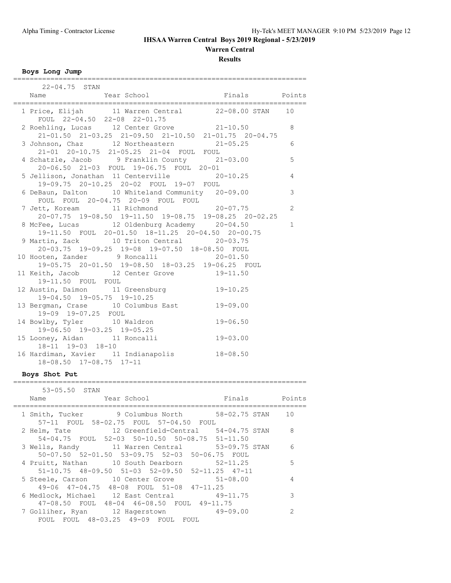**Warren Central**

**Results**

**Boys Long Jump**

| 22-04.75 STAN              |                                                                                                                                                                                                                                   |              |                |
|----------------------------|-----------------------------------------------------------------------------------------------------------------------------------------------------------------------------------------------------------------------------------|--------------|----------------|
|                            | Name Year School Finals Points<br>Finals Points Premier and the School Premier of the School Premier of the School Premier of the School Premier School Premier and Premier and Premier School Premier and Premier School Premier |              |                |
|                            | 1 Price, Elijah 11 Warren Central 22-08.00 STAN 10<br>FOUL 22-04.50 22-08 22-01.75<br>2 Roehling, Lucas 12 Center Grove 21-10.50 8                                                                                                |              |                |
|                            | 21-01.50 21-03.25 21-09.50 21-10.50 21-01.75 20-04.75                                                                                                                                                                             |              |                |
|                            | 3 Johnson, Chaz 12 Northeastern 21-05.25 6<br>21-01 20-10.75 21-05.25 21-04 FOUL FOUL                                                                                                                                             |              |                |
|                            | 4 Schatzle, Jacob 9 Franklin County 21-03.00<br>20-06.50 21-03 FOUL 19-06.75 FOUL 20-01                                                                                                                                           |              | 5              |
|                            | $5$ Jellison, Jonathan 11 Centerville $20-10.25$<br>$19-09.75$ $20-10.25$<br>19-09.75 20-10.25 20-02 FOUL 19-07 FOUL                                                                                                              |              | $\overline{4}$ |
|                            | 6 DeBaun, Dalton 10 Whiteland Community 20-09.00<br>FOUL FOUL 20-04.75 20-09 FOUL FOUL                                                                                                                                            |              | 3              |
|                            | 7 Jett, Koream 11 Richmond 20-07.75<br>20-07.75 19-08.50 19-11.50 19-08.75 19-08.25 20-02.25                                                                                                                                      |              | $\overline{2}$ |
|                            | 8 McFee, Lucas 12 Oldenburg Academy 20-04.50<br>19-11.50 FOUL 20-01.50 18-11.25 20-04.50 20-00.75                                                                                                                                 |              | $\mathbf{1}$   |
|                            | 9 Martin, Zack 10 Triton Central 20-03.75<br>20-03.75 19-09.25 19-08 19-07.50 18-08.50 FOUL                                                                                                                                       |              |                |
|                            | 10 Hooten, Zander 9 Roncalli 20-01.50<br>19-05.75 20-01.50 19-08.50 18-03.25 19-06.25 FOUL                                                                                                                                        |              |                |
| 19-11.50 FOUL FOUL         | 11 Keith, Jacob 12 Center Grove 19-11.50                                                                                                                                                                                          |              |                |
| 19-04.50 19-05.75 19-10.25 | 12 Austin, Daimon 11 Greensburg 19-10.25                                                                                                                                                                                          |              |                |
| 19-09 19-07.25 FOUL        | 13 Bergman, Crase 10 Columbus East 19-09.00                                                                                                                                                                                       |              |                |
|                            | 14 Bowlby, Tyler 10 Waldron<br>19-06.50 19-03.25 19-05.25                                                                                                                                                                         | $19 - 06.50$ |                |
| 18-11 19-03 18-10          | 15 Looney, Aidan 11 Roncalli                                                                                                                                                                                                      | $19 - 03.00$ |                |
| 18-08.50 17-08.75 17-11    | 16 Hardiman, Xavier 11 Indianapolis 18-08.50                                                                                                                                                                                      |              |                |

#### **Boys Shot Put**

#### ======================================================================= 53-05.50 STAN

| Name | Year School                                                                                            | Finals Points |    |
|------|--------------------------------------------------------------------------------------------------------|---------------|----|
|      | 1 Smith, Tucker 9 Columbus North 58-02.75 STAN 10                                                      |               |    |
|      | 57-11 FOUL 58-02.75 FOUL 57-04.50 FOUL                                                                 |               |    |
|      | 2 Helm, Tate $12$ Greenfield-Central 54-04.75 STAN 8<br>54-04.75 FOUL 52-03 50-10.50 50-08.75 51-11.50 |               |    |
|      | 3 Wells, Randy 11 Warren Central 53-09.75 STAN                                                         |               | 6  |
|      | 50-07.50 52-01.50 53-09.75 52-03 50-06.75 FOUL                                                         |               |    |
|      | 4 Pruitt, Nathan 10 South Dearborn 52-11.25                                                            |               | .5 |
|      | $51-10.75$ $48-09.50$ $51-03$ $52-09.50$ $52-11.25$ $47-11$                                            |               |    |
|      | 5 Steele, Carson 10 Center Grove 51-08.00                                                              |               | 4  |
|      | 49-06 47-04.75 48-08 FOUL 51-08 47-11.25                                                               |               |    |
|      | 6 Medlock, Michael 12 East Central 49-11.75                                                            |               | 3  |
|      | 47-08.50 FOUL 48-04 46-08.50 FOUL 49-11.75                                                             |               |    |
|      | 7 Golliher, Ryan 12 Hagerstown 49-09.00                                                                |               | 2  |
|      | FOUL FOUL 48-03.25 49-09 FOUL FOUL                                                                     |               |    |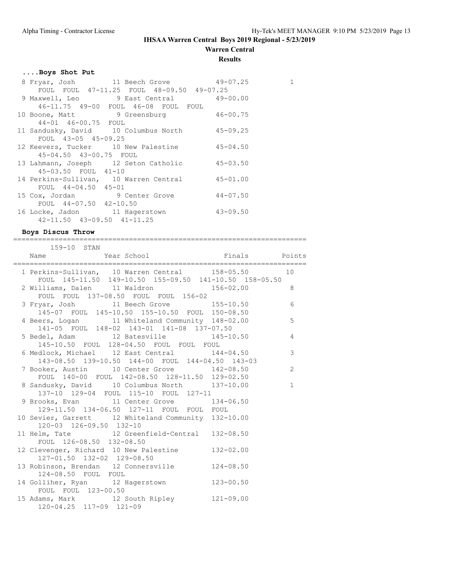# **Warren Central**

**Results**

# **....Boys Shot Put**

|                                        | 8 Fryar, Josh 11 Beech Grove 49-07.25           | $\mathbf{1}$ |
|----------------------------------------|-------------------------------------------------|--------------|
|                                        | FOUL FOUL 47-11.25 FOUL 48-09.50 49-07.25       |              |
|                                        | 9 Maxwell, Leo 9 East Central 49-00.00          |              |
|                                        | 46-11.75 49-00 FOUL 46-08 FOUL FOUL             |              |
|                                        | 10 Boone, Matt 9 Greensburg 46-00.75            |              |
| 44-01 46-00.75 FOUL                    |                                                 |              |
|                                        | 11 Sandusky, David 10 Columbus North 45-09.25   |              |
| FOUL 43-05 45-09.25                    |                                                 |              |
|                                        | 12 Keevers, Tucker 10 New Palestine 45-04.50    |              |
| 45-04.50 43-00.75 FOUL                 |                                                 |              |
|                                        | 13 Lahmann, Joseph 12 Seton Catholic 45-03.50   |              |
| 45-03.50 FOUL 41-10                    |                                                 |              |
|                                        | 14 Perkins-Sullivan, 10 Warren Central 45-01.00 |              |
| FOUL 44-04.50 45-01                    |                                                 |              |
|                                        | 15 Cox, Jordan 9 Center Grove 44-07.50          |              |
| FOUL 44-07.50 42-10.50                 |                                                 |              |
|                                        | 16 Locke, Jadon 11 Hagerstown 43-09.50          |              |
| $42 - 11.50$ $43 - 09.50$ $41 - 11.25$ |                                                 |              |

| Boys Discus Throw                                                                                         |                |
|-----------------------------------------------------------------------------------------------------------|----------------|
| 159-10 STAN<br>Name Year School Finals Points                                                             |                |
| 1 Perkins-Sullivan, 10 Warren Central 158-05.50<br>FOUL 145-11.50 149-10.50 155-09.50 141-10.50 158-05.50 | 10             |
| 2 Williams, Dalen 11 Waldron 156-02.00 8<br>FOUL FOUL 137-08.50 FOUL FOUL 156-02                          |                |
| 3 Fryar, Josh 11 Beech Grove 155-10.50 6<br>145-07 FOUL 145-10.50 155-10.50 FOUL 150-08.50                |                |
| 4 Beers, Logan 11 Whiteland Community 148-02.00<br>141-05 FOUL 148-02 143-01 141-08 137-07.50             | 5              |
| 5 Bedel, Adam 12 Batesville 145-10.50<br>145-10.50 FOUL 128-04.50 FOUL FOUL FOUL                          | $\overline{4}$ |
| 6 Medlock, Michael 12 East Central 144-04.50<br>143-08.50 139-10.50 144-00 FOUL 144-04.50 143-03          | 3              |
| 7 Booker, Austin 10 Center Grove 142-08.50<br>FOUL 140-00 FOUL 142-08.50 128-11.50 129-02.50              | 2              |
| 8 Sandusky, David 10 Columbus North 137-10.00<br>137-10 129-04 FOUL 115-10 FOUL 127-11                    | $\mathbf{1}$   |
| 9 Brooks, Evan 11 Center Grove 134-06.50<br>129-11.50 134-06.50 127-11 FOUL FOUL FOUL                     |                |
| 10 Sevier, Garrett 12 Whiteland Community 132-10.00<br>120-03 126-09.50 132-10                            |                |
| 11 Helm, Tate 12 Greenfield-Central 132-08.50<br>FOUL 126-08.50 132-08.50                                 |                |
| 12 Clevenger, Richard 10 New Palestine 132-02.00<br>127-01.50 132-02 129-08.50                            |                |
| 13 Robinson, Brendan 12 Connersville 124-08.50<br>124-08.50 FOUL FOUL                                     |                |
| 14 Golliher, Ryan 12 Hagerstown 123-00.50<br>FOUL FOUL 123-00.50                                          |                |
| 15 Adams, Mark 12 South Ripley 121-09.00<br>120-04.25 117-09 121-09                                       |                |